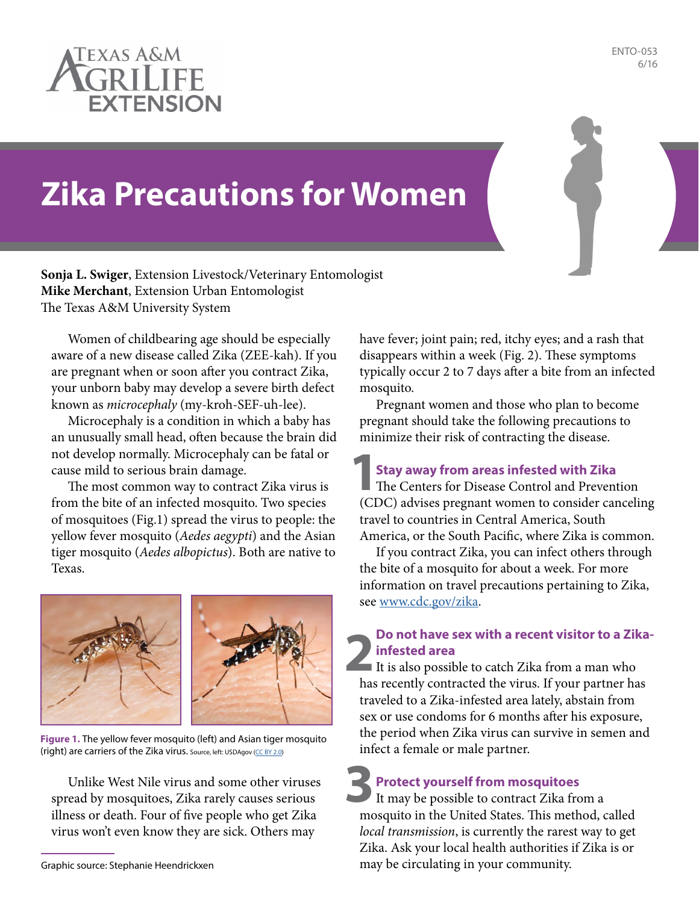

ENTO-053 6/16

# **Zika Precautions for Women**

**Sonja L. Swiger**, Extension Livestock/Veterinary Entomologist **Mike Merchant**, Extension Urban Entomologist The Texas A&M University System

Women of childbearing age should be especially aware of a new disease called Zika (ZEE-kah). If you are pregnant when or soon after you contract Zika, your unborn baby may develop a severe birth defect known as *microcephaly* (my-kroh-SEF-uh-lee).

Microcephaly is a condition in which a baby has an unusually small head, often because the brain did not develop normally. Microcephaly can be fatal or cause mild to serious brain damage.

The most common way to contract Zika virus is from the bite of an infected mosquito. Two species of mosquitoes (Fig.1) spread the virus to people: the yellow fever mosquito (*Aedes aegypti*) and the Asian tiger mosquito (*Aedes albopictus*). Both are native to Texas.



**Figure 1.** The yellow fever mosquito (left) and Asian tiger mosquito (right) are carriers of the Zika virus. Source, left: USDAgov ([CC BY 2.0\)](http://CC BY 2.0)

Unlike West Nile virus and some other viruses spread by mosquitoes, Zika rarely causes serious illness or death. Four of five people who get Zika virus won't even know they are sick. Others may

have fever; joint pain; red, itchy eyes; and a rash that disappears within a week (Fig. 2). These symptoms typically occur 2 to 7 days after a bite from an infected mosquito.

Pregnant women and those who plan to become pregnant should take the following precautions to minimize their risk of contracting the disease.

**Stay away from areas infested with Zika**

The Centers for Disease Control and Prevention (CDC) advises pregnant women to consider canceling travel to countries in Central America, South America, or the South Pacific, where Zika is common. **1**

If you contract Zika, you can infect others through the bite of a mosquito for about a week. For more information on travel precautions pertaining to Zika, see [www.cdc.gov/zika](http://www.cdc.gov/zika).

## **2** It is also possible to catch Zika from a man who **Do not have sex with a recent visitor to a Zikainfested area**

has recently contracted the virus. If your partner has traveled to a Zika-infested area lately, abstain from sex or use condoms for 6 months after his exposure, the period when Zika virus can survive in semen and infect a female or male partner.

**3 Protect yourself from mosquitoes** It may be possible to contract Zika from a

mosquito in the United States. This method, called *local transmission*, is currently the rarest way to get Zika. Ask your local health authorities if Zika is or Graphic source: Stephanie Heendrickxen may be circulating in your community.